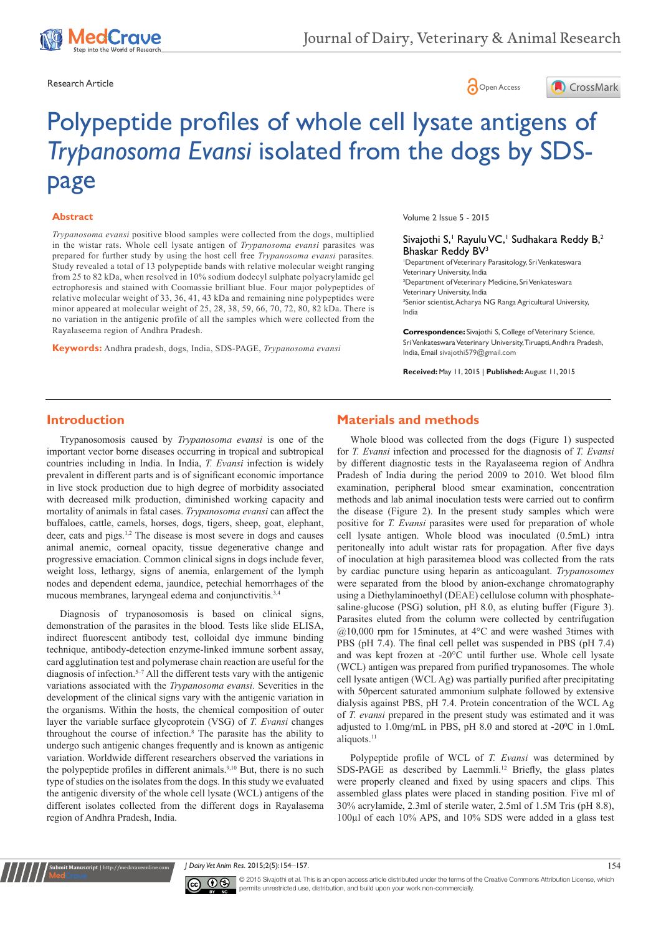

Research Article **Contracts** Contracts and Contracts Contracts Contracts Contracts Contracts Contracts Contracts Contracts Contracts Contracts Contracts Contracts Contracts Contracts Contracts Contracts Contracts Contracts





# Polypeptide profiles of whole cell lysate antigens of *Trypanosoma Evansi* isolated from the dogs by SDSpage

#### **Abstract**

*Trypanosoma evansi* positive blood samples were collected from the dogs, multiplied in the wistar rats. Whole cell lysate antigen of *Trypanosoma evansi* parasites was prepared for further study by using the host cell free *Trypanosoma evansi* parasites. Study revealed a total of 13 polypeptide bands with relative molecular weight ranging from 25 to 82 kDa, when resolved in 10% sodium dodecyl sulphate polyacrylamide gel ectrophoresis and stained with Coomassie brilliant blue. Four major polypeptides of relative molecular weight of 33, 36, 41, 43 kDa and remaining nine polypeptides were minor appeared at molecular weight of 25, 28, 38, 59, 66, 70, 72, 80, 82 kDa. There is no variation in the antigenic profile of all the samples which were collected from the Rayalaseema region of Andhra Pradesh.

**Keywords:** Andhra pradesh, dogs, India, SDS-PAGE, *Trypanosoma evansi*

Volume 2 Issue 5 - 2015

Sivajothi S,<sup>1</sup> Rayulu VC,<sup>1</sup> Sudhakara Reddy B,<sup>2</sup> Bhaskar Reddy BV<sup>3</sup>

1 Department of Veterinary Parasitology, Sri Venkateswara Veterinary University, India 2 Department of Veterinary Medicine, Sri Venkateswara Veterinary University, India 3 Senior scientist, Acharya NG Ranga Agricultural University, India

**Correspondence:** Sivajothi S, College of Veterinary Science, Sri Venkateswara Veterinary University, Tiruapti, Andhra Pradesh, India, Email sivajothi579@gmail.com

**Received:** May 11, 2015 | **Published:** August 11, 2015

#### **Introduction**

Trypanosomosis caused by *Trypanosoma evansi* is one of the important vector borne diseases occurring in tropical and subtropical countries including in India. In India, *T. Evansi* infection is widely prevalent in different parts and is of significant economic importance in live stock production due to high degree of morbidity associated with decreased milk production, diminished working capacity and mortality of animals in fatal cases. *Trypanosoma evansi* can affect the buffaloes, cattle, camels, horses, dogs, tigers, sheep, goat, elephant, deer, cats and pigs.1,2 The disease is most severe in dogs and causes animal anemic, corneal opacity, tissue degenerative change and progressive emaciation. Common clinical signs in dogs include fever, weight loss, lethargy, signs of anemia, enlargement of the lymph nodes and dependent edema, jaundice, petechial hemorrhages of the mucous membranes, laryngeal edema and conjunctivitis.<sup>3,4</sup>

Diagnosis of trypanosomosis is based on clinical signs, demonstration of the parasites in the blood. Tests like slide ELISA, indirect fluorescent antibody test, colloidal dye immune binding technique, antibody-detection enzyme-linked immune sorbent assay, card agglutination test and polymerase chain reaction are useful for the diagnosis of infection.<sup>5–7</sup> All the different tests vary with the antigenic variations associated with the *Trypanosoma evansi.* Severities in the development of the clinical signs vary with the antigenic variation in the organisms. Within the hosts, the chemical composition of outer layer the variable surface glycoprotein (VSG) of *T. Evansi* changes throughout the course of infection.8 The parasite has the ability to undergo such antigenic changes frequently and is known as antigenic variation. Worldwide different researchers observed the variations in the polypeptide profiles in different animals.<sup>9,10</sup> But, there is no such type of studies on the isolates from the dogs. In this study we evaluated the antigenic diversity of the whole cell lysate (WCL) antigens of the different isolates collected from the different dogs in Rayalasema region of Andhra Pradesh, India.

### **Materials and methods**

Whole blood was collected from the dogs (Figure 1) suspected for *T. Evansi* infection and processed for the diagnosis of *T. Evansi* by different diagnostic tests in the Rayalaseema region of Andhra Pradesh of India during the period 2009 to 2010. Wet blood film examination, peripheral blood smear examination, concentration methods and lab animal inoculation tests were carried out to confirm the disease (Figure 2). In the present study samples which were positive for *T. Evansi* parasites were used for preparation of whole cell lysate antigen. Whole blood was inoculated (0.5mL) intra peritoneally into adult wistar rats for propagation. After five days of inoculation at high parasitemea blood was collected from the rats by cardiac puncture using heparin as anticoagulant. *Trypanosomes* were separated from the blood by anion-exchange chromatography using a Diethylaminoethyl (DEAE) cellulose column with phosphatesaline-glucose (PSG) solution, pH 8.0, as eluting buffer (Figure 3). Parasites eluted from the column were collected by centrifugation  $(a)10,000$  rpm for 15minutes, at 4°C and were washed 3times with PBS (pH 7.4). The final cell pellet was suspended in PBS (pH 7.4) and was kept frozen at -20°C until further use. Whole cell lysate (WCL) antigen was prepared from purified trypanosomes. The whole cell lysate antigen (WCL Ag) was partially purified after precipitating with 50percent saturated ammonium sulphate followed by extensive dialysis against PBS, pH 7.4. Protein concentration of the WCL Ag of *T. evansi* prepared in the present study was estimated and it was adjusted to  $1.0$ mg/mL in PBS, pH 8.0 and stored at -20 $\degree$ C in  $1.0$ mL aliquots.<sup>11</sup>

Polypeptide profile of WCL of *T. Evansi* was determined by SDS-PAGE as described by Laemmli.<sup>12</sup> Briefly, the glass plates were properly cleaned and fixed by using spacers and clips. This assembled glass plates were placed in standing position. Five ml of 30% acrylamide, 2.3ml of sterile water, 2.5ml of 1.5M Tris (pH 8.8), 100µl of each 10% APS, and 10% SDS were added in a glass test

*J Dairy Vet Anim Res.* 2015;2(5):154‒157. 154



**Krit Manuscript** | http://medcraveonline.c

© 2015 Sivajothi et al. This is an open access article distributed under the terms of the [Creative Commons Attribution License,](https://creativecommons.org/licenses/by-nc/4.0/) which permits unrestricted use, distribution, and build upon your work non-commercially.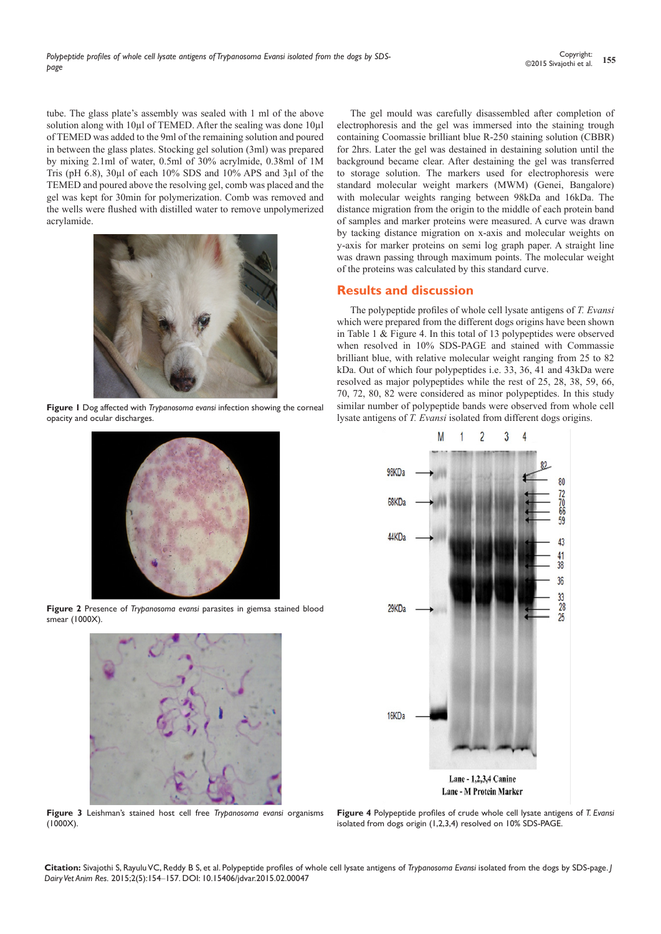tube. The glass plate's assembly was sealed with 1 ml of the above solution along with 10µl of TEMED. After the sealing was done 10µl of TEMED was added to the 9ml of the remaining solution and poured in between the glass plates. Stocking gel solution (3ml) was prepared by mixing 2.1ml of water, 0.5ml of 30% acrylmide, 0.38ml of 1M Tris (pH 6.8), 30µl of each 10% SDS and 10% APS and 3µl of the TEMED and poured above the resolving gel, comb was placed and the gel was kept for 30min for polymerization. Comb was removed and the wells were flushed with distilled water to remove unpolymerized acrylamide.



**Figure 1** Dog affected with *Trypanosoma evansi* infection showing the corneal opacity and ocular discharges.



**Figure 2** Presence of *Trypanosoma evansi* parasites in giemsa stained blood smear (1000X).



**Figure 3** Leishman's stained host cell free *Trypanosoma evansi* organisms  $(1000X)$ .

The gel mould was carefully disassembled after completion of electrophoresis and the gel was immersed into the staining trough containing Coomassie brilliant blue R-250 staining solution (CBBR) for 2hrs. Later the gel was destained in destaining solution until the background became clear. After destaining the gel was transferred to storage solution. The markers used for electrophoresis were standard molecular weight markers (MWM) (Genei, Bangalore) with molecular weights ranging between 98kDa and 16kDa. The distance migration from the origin to the middle of each protein band of samples and marker proteins were measured. A curve was drawn by tacking distance migration on x-axis and molecular weights on y-axis for marker proteins on semi log graph paper. A straight line was drawn passing through maximum points. The molecular weight of the proteins was calculated by this standard curve.

## **Results and discussion**

The polypeptide profiles of whole cell lysate antigens of *T. Evansi*  which were prepared from the different dogs origins have been shown in Table 1 & Figure 4. In this total of 13 polypeptides were observed when resolved in 10% SDS-PAGE and stained with Commassie brilliant blue, with relative molecular weight ranging from 25 to 82 kDa. Out of which four polypeptides i.e. 33, 36, 41 and 43kDa were resolved as major polypeptides while the rest of 25, 28, 38, 59, 66, 70, 72, 80, 82 were considered as minor polypeptides. In this study similar number of polypeptide bands were observed from whole cell lysate antigens of *T. Evansi* isolated from different dogs origins.



**Figure 4** Polypeptide profiles of crude whole cell lysate antigens of *T. Evansi* isolated from dogs origin (1,2,3,4) resolved on 10% SDS-PAGE.

**Citation:** Sivajothi S, Rayulu VC, Reddy B S, et al. Polypeptide profiles of whole cell lysate antigens of *Trypanosoma Evansi* isolated from the dogs by SDS-page. *J Dairy Vet Anim Res.* 2015;2(5):154‒157. DOI: [10.15406/jdvar.2015.02.00047](https://doi.org/10.15406/jdvar.2015.02.00047)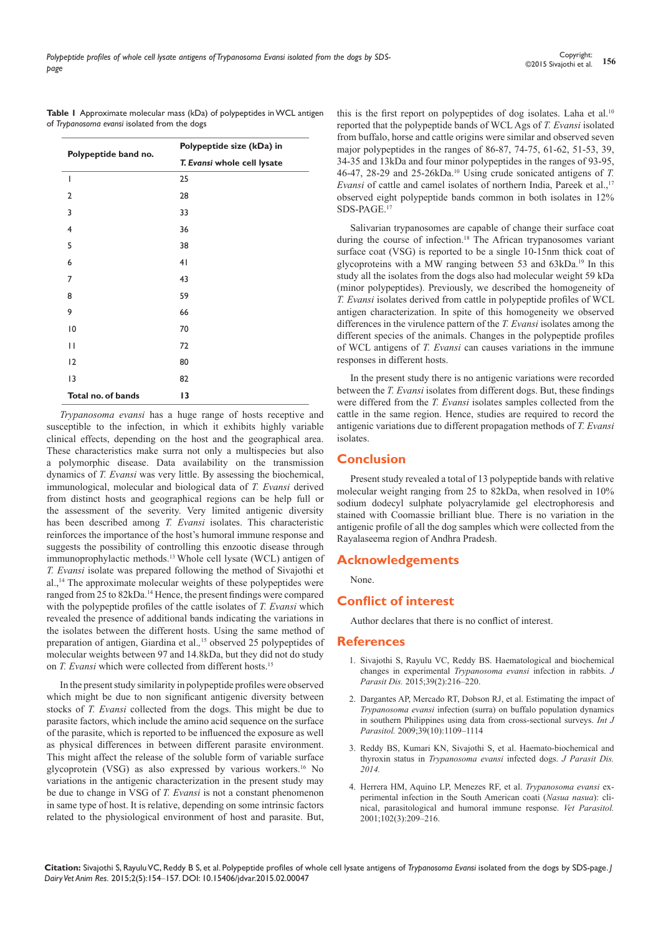|                                              | <b>Table I</b> Approximate molecular mass (kDa) of polypeptides in WCL antigen |
|----------------------------------------------|--------------------------------------------------------------------------------|
| of Trypanosoma evansi isolated from the dogs |                                                                                |

| Polypeptide band no. | Polypeptide size (kDa) in<br>T. Evansi whole cell lysate |  |
|----------------------|----------------------------------------------------------|--|
|                      |                                                          |  |
| I                    | 25                                                       |  |
| $\overline{2}$       | 28                                                       |  |
| 3                    | 33                                                       |  |
| 4                    | 36                                                       |  |
| 5                    | 38                                                       |  |
| 6                    | 41                                                       |  |
| 7                    | 43                                                       |  |
| 8                    | 59                                                       |  |
| 9                    | 66                                                       |  |
| 10                   | 70                                                       |  |
| П                    | 72                                                       |  |
| 12                   | 80                                                       |  |
| 13                   | 82                                                       |  |
| Total no. of bands   | 13                                                       |  |

*Trypanosoma evansi* has a huge range of hosts receptive and susceptible to the infection, in which it exhibits highly variable clinical effects, depending on the host and the geographical area. These characteristics make surra not only a multispecies but also a polymorphic disease. Data availability on the transmission dynamics of *T. Evansi* was very little. By assessing the biochemical, immunological, molecular and biological data of *T. Evansi* derived from distinct hosts and geographical regions can be help full or the assessment of the severity. Very limited antigenic diversity has been described among *T. Evansi* isolates. This characteristic reinforces the importance of the host's humoral immune response and suggests the possibility of controlling this enzootic disease through immunoprophylactic methods.13 Whole cell lysate (WCL) antigen of *T. Evansi* isolate was prepared following the method of Sivajothi et al.,14 The approximate molecular weights of these polypeptides were ranged from 25 to 82kDa.<sup>14</sup> Hence, the present findings were compared with the polypeptide profiles of the cattle isolates of *T. Evansi* which revealed the presence of additional bands indicating the variations in the isolates between the different hosts. Using the same method of preparation of antigen, Giardina et al.*,* 15 observed 25 polypeptides of molecular weights between 97 and 14.8kDa, but they did not do study on *T. Evansi* which were collected from different hosts.15

In the present study similarity in polypeptide profiles were observed which might be due to non significant antigenic diversity between stocks of *T. Evansi* collected from the dogs. This might be due to parasite factors, which include the amino acid sequence on the surface of the parasite, which is reported to be influenced the exposure as well as physical differences in between different parasite environment. This might affect the release of the soluble form of variable surface glycoprotein (VSG) as also expressed by various workers.16 No variations in the antigenic characterization in the present study may be due to change in VSG of *T. Evansi* is not a constant phenomenon in same type of host. It is relative, depending on some intrinsic factors related to the physiological environment of host and parasite. But, this is the first report on polypeptides of dog isolates. Laha et al.<sup>10</sup> reported that the polypeptide bands of WCL Ags of *T. Evansi* isolated from buffalo, horse and cattle origins were similar and observed seven major polypeptides in the ranges of 86-87, 74-75, 61-62, 51-53, 39, 34-35 and 13kDa and four minor polypeptides in the ranges of 93-95, 46-47, 28-29 and 25-26kDa.10 Using crude sonicated antigens of *T. Evansi* of cattle and camel isolates of northern India, Pareek et al.,<sup>17</sup> observed eight polypeptide bands common in both isolates in 12% SDS-PAGE.<sup>17</sup>

Salivarian trypanosomes are capable of change their surface coat during the course of infection.<sup>18</sup> The African trypanosomes variant surface coat (VSG) is reported to be a single 10-15nm thick coat of glycoproteins with a MW ranging between 53 and 63kDa.19 In this study all the isolates from the dogs also had molecular weight 59 kDa (minor polypeptides). Previously, we described the homogeneity of *T. Evansi* isolates derived from cattle in polypeptide profiles of WCL antigen characterization. In spite of this homogeneity we observed differences in the virulence pattern of the *T. Evansi* isolates among the different species of the animals. Changes in the polypeptide profiles of WCL antigens of *T. Evansi* can causes variations in the immune responses in different hosts.

In the present study there is no antigenic variations were recorded between the *T. Evansi* isolates from different dogs. But, these findings were differed from the *T. Evansi* isolates samples collected from the cattle in the same region. Hence, studies are required to record the antigenic variations due to different propagation methods of *T. Evansi*  **isolates** 

# **Conclusion**

Present study revealed a total of 13 polypeptide bands with relative molecular weight ranging from 25 to 82kDa, when resolved in 10% sodium dodecyl sulphate polyacrylamide gel electrophoresis and stained with Coomassie brilliant blue. There is no variation in the antigenic profile of all the dog samples which were collected from the Rayalaseema region of Andhra Pradesh.

### **Acknowledgements**

None.

### **Conflict of interest**

Author declares that there is no conflict of interest.

#### **References**

- 1. [Sivajothi S, Rayulu VC, Reddy BS. Haematological and biochemical](http://www.ncbi.nlm.nih.gov/pubmed/26064003)  [changes in experimental](http://www.ncbi.nlm.nih.gov/pubmed/26064003) *Trypanosoma evansi* infection in rabbits. *J Parasit Dis.* [2015;39\(2\):216‒220.](http://www.ncbi.nlm.nih.gov/pubmed/26064003)
- 2. [Dargantes AP, Mercado RT, Dobson RJ, et al. Estimating the impact of](http://espace.library.uq.edu.au/view/UQ:330546)  *Trypanosoma evansi* [infection \(surra\) on buffalo population dynamics](http://espace.library.uq.edu.au/view/UQ:330546)  [in southern Philippines using data from cross-sectional surveys.](http://espace.library.uq.edu.au/view/UQ:330546) *Int J Parasitol.* [2009;39\(10\):1109‒1114](http://espace.library.uq.edu.au/view/UQ:330546)
- 3. Reddy BS, Kumari KN, Sivajothi S, et al. Haemato-biochemical and thyroxin status in *Trypanosoma evansi* infected dogs. *J Parasit Dis. 2014.*
- 4. [Herrera HM, Aquino LP, Menezes RF, et al.](http://www.ncbi.nlm.nih.gov/pubmed/11777600) *Trypanosoma evansi* ex[perimental infection in the South American coati \(](http://www.ncbi.nlm.nih.gov/pubmed/11777600)*Nasua nasua*): cli[nical, parasitological and humoral immune response.](http://www.ncbi.nlm.nih.gov/pubmed/11777600) *Vet Parasitol.*  [2001;102\(3\):209‒216.](http://www.ncbi.nlm.nih.gov/pubmed/11777600)